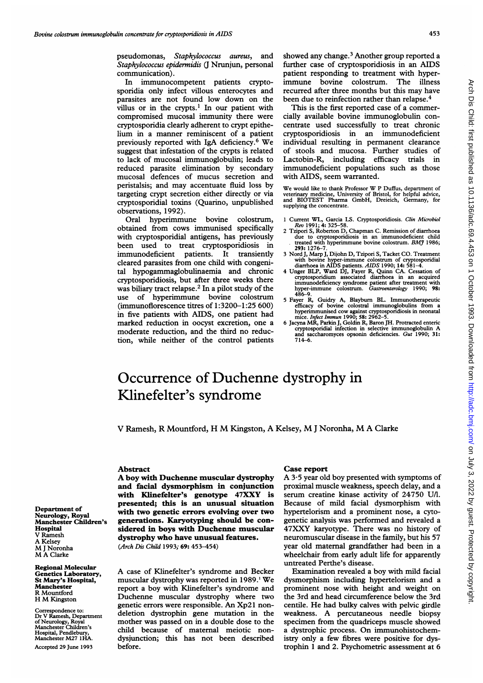pseudomonas, Staphylococcus aureus, and Staphylococcus epidermidis (J Nrunjun, personal communication).

In immunocompetent patients cryptosporidia only infect villous enterocytes and parasites are not found low down on the villus or in the crypts.<sup>1</sup> In our patient with compromised mucosal immunity there were cryptosporidia clearly adherent to crypt epithelium in a manner reminiscent of a patient previously reported with IgA deficiency.6 We suggest that infestation of the crypts is related to lack of mucosal immunoglobulin; leads to reduced parasite elimination by secondary mucosal defences of mucus secretion and peristalsis; and may accentuate fluid loss by targeting crypt secretion either directly or via cryptosporidial toxins (Quarino, unpublished observations, 1992).

Oral hyperimmune bovine colostrum, obtained from cows immunised specifically with cryptosporidial antigens, has previously been used to treat cryptosporidiosis in immunodeficient patients. It transiently cleared parasites from one child with congenital hypogammaglobulinaemia and chronic cryptosporidiosis, but after three weeks there was biliary tract relapse.2 In a pilot study of the use of hyperimmune bovine colostrum (immunoflorescence titres of 1:3200-1:25 600) in five patients with AIDS, one patient had marked reduction in oocyst excretion, one a moderate reduction, and the third no reduction, while neither of the control patients showed any change.<sup>3</sup> Another group reported a further case of cryptosporidiosis in an AIDS patient responding to treatment with hyperimmune bovine colostrum. The illness recurred after three months but this may have been due to reinfection rather than relapse.<sup>4</sup>

This is the first reported case of a commercially available bovine immunoglobulin concentrate used successfully to treat chronic cryptosporidiosis in an immunodeficient individual resulting in permanent clearance of stools and mucosa. Further studies of Lactobin-R, including efficacy trials in immunodeficient populations such as those with AIDS, seem warranted.

We would like to thank Professor W <sup>P</sup> Duffus, department of veterinary medicine, University of Bristol, for helpful advice, and BIOTEST Pharma GmbH, Dreieich, Germany, for supplying the concentrate.

- <sup>1</sup> Current WL, Garcia LS. Cryptosporidiosis. Clin Microbiol Rev 1991; 4: 325-58. 2 Tzipori S, Roberton D, Chapman C. Remission of diarrhoea
- due to cryptosporidiosis in an immunodeficient child treated with hyperimmune bovine colostrum. BMJ 1986; 293: 1276-7.
- 3 Nord J, Marp J, Dijohn D, Tzipori S, Tacket CO. Treatment
- with bovine hyper-immune colostrum of cryptosporidial<br>diarrhoea in AIDS patients. *AIDS* 1990; 14: 581–4.<br>4 Unger BLP, Ward DJ, Fayer R, Quinn CA. Cessation of<br>cryptosporidium associated diarrhoea in an acquired<br>immunodefi
- 5 Fayer R, Guidry A, Blayburn BL. Immunotherapeutic efficacy of bovine colostral immunoglobulins from a hyperimmunised cow against cryptosporidiosis in neonatal mice. Infect Immun 1990; 58: 2962-5.
- 6 Jacyna MR, Parkin J, Goldin R, Baron JH. Protracted enteric cryptosporidial infection in selective immunoglobulin A and saccharomyces opsonin deficiencies. Gut 1990; 31: 714-6.

## Occurrence of Duchenne dystrophy in Klinefelter's syndrome

V Ramesh, R Mountford, H M Kingston, A Kelsey, M<sup>J</sup> Noronha, M A Clarke

## Abstract

A boy with Duchenne muscular dystrophy and facial dysmorphism in conjunction with Klinefelter's genotype 47XXY is presented; this is an unusual situation with two genetic errors evolving over two generations. Karyotyping should be considered in boys with Duchenne muscular dystrophy who have unusual features. (Arch Dis Child 1993; 69: 453-454)

A case of Klinefelter's syndrome and Becker muscular dystrophy was reported in 1989.' We report a boy with Klinefelter's syndrome and Duchenne muscular dystrophy where two genetic errors were responsible. An Xp2 <sup>1</sup> nondeletion dystrophin gene mutation in the mother was passed on in a double dose to the child because of maternal meiotic nondysjunction; this has not been described before.

## Case report

A 3-5 year old boy presented with symptoms of proximal muscle weakness, speech delay, and a serum creatine kinase activity of 24750 U/I. Because of mild facial dysmorphism with hypertelorism and a prominent nose, a cytogenetic analysis was performed and revealed a 47XXY karyotype. There was no history of neuromuscular disease in the family, but his 57 year old maternal grandfather had been in a wheelchair from early adult life for apparently untreated Perthe's disease.

Examination revealed a boy with mild facial dysmorphism including hypertelorism and a prominent nose with height and weight on the 3rd and head circumference below the 3rd centile. He had bulky calves with pelvic girdle weakness. A percutaneous needle biopsy specimen from the quadriceps muscle showed <sup>a</sup> dystrophic process. On immunohistochemistry only a few fibres were positive for dystrophin <sup>1</sup> and 2. Psychometric assessment at 6

Department of Neurology, Royal Manchester Children's **Hospital** V Ramesh A Kelsey M<sup>J</sup> Noronha M A Clarke

Regional Molecular Genetics Laboratory, St Mary's Hospital, Manchester R Mountford H M Kingston

Correspondence to: Dr V Ramesh, Departnent of Neurology, Royal Manchester Children's Hospital, Pendlebury, Manchester M27 IHA. Accepted 29 June 1993